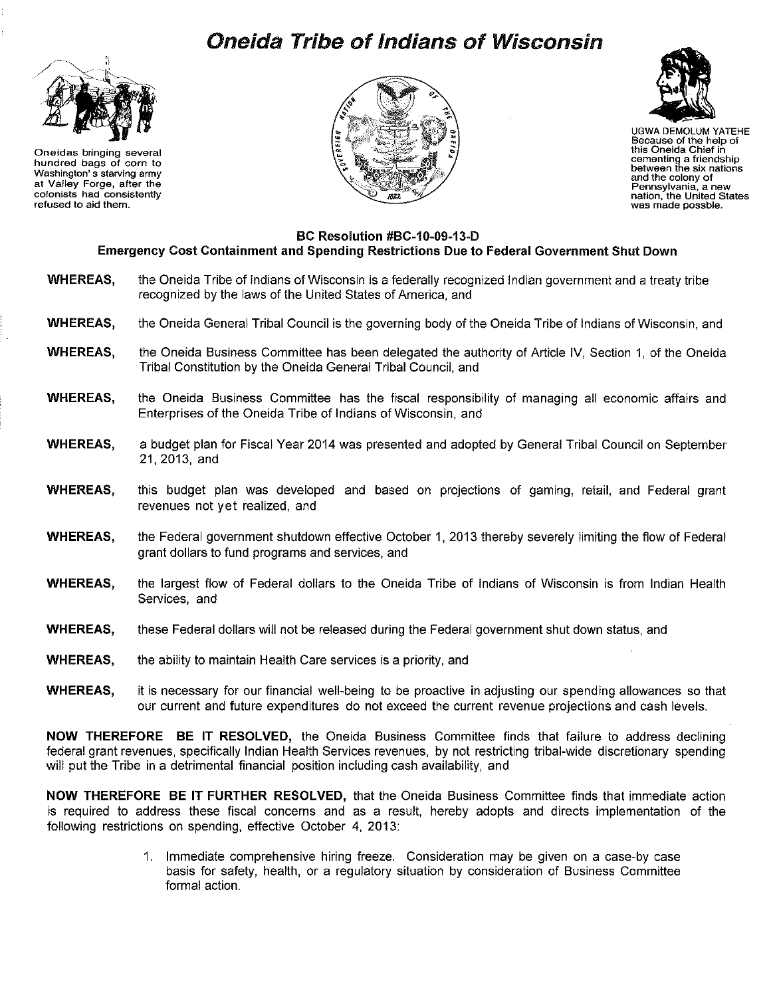## Oneida Tribe of Indians of Wisconsin



Oneidas bringing several hundred bags of corn to Washington' s starving army at Valley Forge, after the colonists had consistently refused to aid them.





UGWA DEMOLUM YATEHE Because of the help of this Oneida Chief in cementing a friendship between the six nations and the colony of Pennsylvania, a new nation, the United States was made possble.

## BC Resolution #BC-10-09-13-D Emergency Cost Containment and Spending Restrictions Due to Federal Government Shut Down

- WHEREAS, the Oneida Tribe of Indians of Wisconsin is a federally recognized Indian government and a treaty tribe recognized by the laws of the United States of America, and
- WHEREAS, the Oneida General Tribal Council is the governing body of the Oneida Tribe of Indians of Wisconsin, and
- WHEREAS, the Oneida Business Committee has been delegated the authority of Article IV, Section 1, of the Oneida Tribal Constitution by the Oneida General Tribal Council, and
- WHEREAS, the Oneida Business Committee has the fiscal responsibility of managing all economic affairs and Enterprises of the Oneida Tribe of Indians of Wisconsin, and
- WHEREAS, a budget plan for Fiscal Year 2014 was presented and adopted by General Tribal Council on September 21, 2013, and
- WHEREAS, this budget plan was developed and based on projections of gaming, retail, and Federal grant revenues not yet realized, and
- WHEREAS, the Federal government shutdown effective October 1, 2013 thereby severely limiting the flow of Federal grant dollars to fund programs and services, and
- WHEREAS, the largest flow of Federal dollars to the Oneida Tribe of Indians of Wisconsin is from Indian Health Services, and
- WHEREAS, these Federal dollars will not be released during the Federal government shut down status, and
- WHEREAS, the ability to maintain Health Care services is a priority, and
- WHEREAS, it is necessary for our financial well-being to be proactive in adjusting our spending allowances so that our current and future expenditures do not exceed the current revenue projections and cash levels.

NOW THEREFORE BE IT RESOLVED, the Oneida Business Committee finds that failure to address declining federal grant revenues, specifically Indian Health Services revenues, by not restricting tribal-wide discretionary spending will put the Tribe in a detrimental financial position including cash availability, and

NOW THEREFORE BE IT FURTHER RESOLVED, that the Oneida Business Committee finds that immediate action is required to address these fiscal concerns and as a result, hereby adopts and directs implementation of the following restrictions on spending, effective October 4, 2013:

> 1. Immediate comprehensive hiring freeze. Consideration may be given on a case-by case basis for safety, health, or a regulatory situation by consideration of Business Committee formal action.